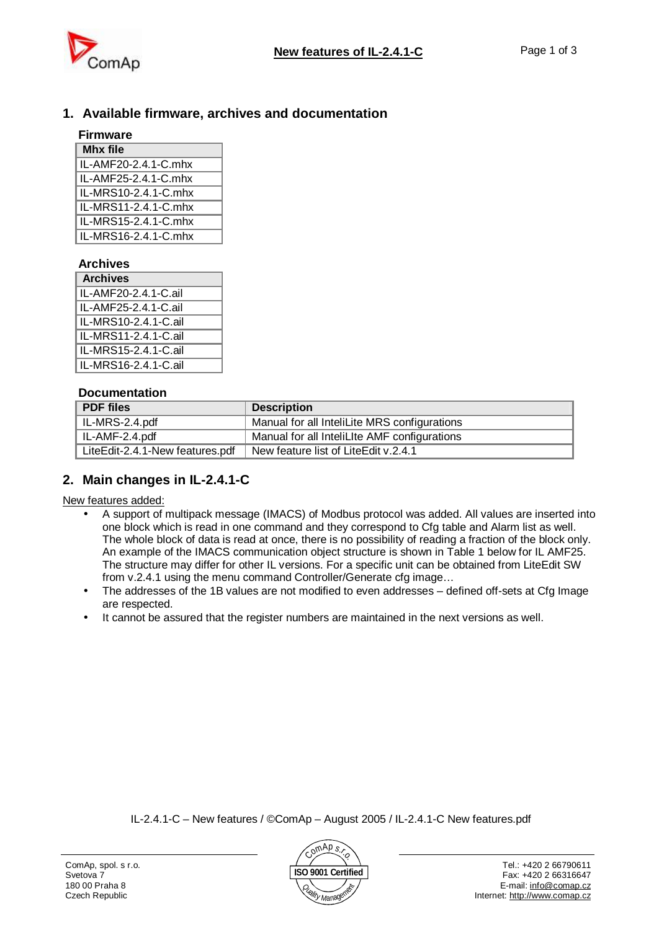

## **1. Available firmware, archives and documentation**

### **Firmware Mhx file**

| IL-AMF20-2.4.1-C.mhx |
|----------------------|
| IL-AMF25-2.4.1-C.mhx |
| IL-MRS10-2.4.1-C.mhx |
| IL-MRS11-2.4.1-C.mhx |
| IL-MRS15-2.4.1-C.mhx |
| IL-MRS16-2.4.1-C.mhx |

#### **Archives**

| <b>Archives</b>      |  |
|----------------------|--|
| IL-AMF20-2.4.1-C.ail |  |
| IL-AMF25-2.4.1-C.ail |  |
| IL-MRS10-2.4.1-C.ail |  |
| IL-MRS11-2.4.1-C.ail |  |
| IL-MRS15-2.4.1-C.ail |  |
| IL-MRS16-2.4.1-C.ail |  |

#### **Documentation**

| <b>PDF</b> files                | <b>Description</b>                           |
|---------------------------------|----------------------------------------------|
| IL-MRS-2.4.pdf                  | Manual for all InteliLite MRS configurations |
| IL-AMF-2.4.pdf                  | Manual for all InteliLite AMF configurations |
| LiteEdit-2.4.1-New features.pdf | New feature list of LiteEdit v.2.4.1         |

# **2. Main changes in IL-2.4.1-C**

New features added:

- A support of multipack message (IMACS) of Modbus protocol was added. All values are inserted into one block which is read in one command and they correspond to Cfg table and Alarm list as well. The whole block of data is read at once, there is no possibility of reading a fraction of the block only. An example of the IMACS communication object structure is shown in Table 1 below for IL AMF25. The structure may differ for other IL versions. For a specific unit can be obtained from LiteEdit SW from v.2.4.1 using the menu command Controller/Generate cfg image…
- The addresses of the 1B values are not modified to even addresses defined off-sets at Cfg Image are respected.
- It cannot be assured that the register numbers are maintained in the next versions as well.

IL-2.4.1-C – New features / ©ComAp – August 2005 / IL-2.4.1-C New features.pdf

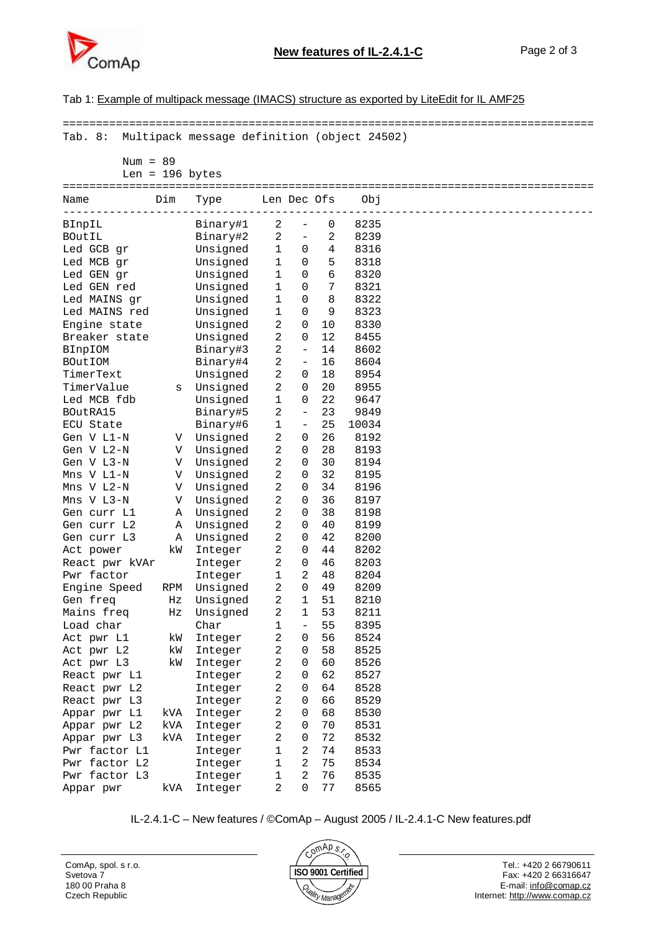

#### Tab 1: Example of multipack message (IMACS) structure as exported by LiteEdit for IL AMF25

| Multipack message definition (object 24502)<br>Tab. 8:<br>Num = $89$<br>Len = $196$ bytes<br>Dim<br>Len Dec Ofs<br>Obj<br>Type<br>Name<br>8235<br>Binary#1<br>2<br>0<br>BInpIL<br>2<br>2<br>8239<br>Binary#2<br>$\overline{\phantom{a}}$<br>$\mathbf{1}$<br>4<br>8316<br>Led GCB gr<br>Unsigned<br>0<br>Unsigned<br>$\mathbf 1$<br>5<br>8318<br>Led MCB gr<br>0<br>6<br>8320<br>Led GEN gr<br>Unsigned<br>1<br>0<br>Led GEN red<br>1<br>7<br>8321<br>Unsigned<br>0<br>8<br>8322<br>Led MAINS gr<br>Unsigned<br>1<br>0<br>9<br>Led MAINS red<br>Unsigned<br>$\mathbf 1$<br>8323<br>0<br>$\mathbf{2}$<br>Engine state<br>Unsigned<br>8330<br>0<br>10<br>$\sqrt{2}$<br>Unsigned<br>0<br>12<br>8455<br>Breaker state<br>$\mathbf{2}$<br>$\overline{\phantom{a}}$<br>8602<br>BInpIOM<br>Binary#3<br>14<br>$\overline{a}$<br>Binary#4<br>16<br>8604<br>BOutIOM<br>$\overline{\phantom{a}}$<br>2<br>TimerText<br>Unsigned<br>18<br>8954<br>0<br>$\overline{a}$<br>TimerValue<br>Unsigned<br>20<br>8955<br>0<br>S<br>Led MCB fdb<br>Unsigned<br>$\mathbf 1$<br>22<br>9647<br>0<br>$\mathbf{2}$<br>23<br>9849<br>BOutRA15<br>Binary#5<br>$\overline{\phantom{a}}$<br>25<br>ECU State<br>Binary#6<br>$\mathbf 1$<br>10034<br>$\overline{\phantom{a}}$<br>$\sqrt{2}$<br>V Unsigned<br>26<br>8192<br>Gen V L1-N<br>0<br>$\sqrt{2}$<br>Gen V L2-N<br>Unsigned<br>0<br>28<br>8193<br>V<br>$\mathbf{2}$<br>Gen V L3-N<br>Unsigned<br>30<br>8194<br>V<br>0<br>$\overline{2}$<br>32<br>Unsigned<br>8195<br>Mns V L1-N<br>V<br>0<br>$\overline{a}$<br>Unsigned<br>34<br>8196<br>Mns V L2-N<br>V<br>0<br>$\overline{a}$<br>Unsigned<br>36<br>8197<br>Mns V L3-N<br>0<br>V<br>Unsigned<br>2<br>38<br>Gen curr L1<br>0<br>8198<br>Α<br>2<br>Unsigned<br>40<br>8199<br>Gen curr L2<br>Α<br>0<br>$\sqrt{2}$<br>42<br>8200<br>Gen curr L3<br>Unsigned<br>0<br>Α<br>$\overline{c}$<br>44<br>8202<br>kW<br>0<br>Act power<br>Integer<br>$\overline{a}$<br>0<br>46<br>8203<br>React pwr kVAr<br>Integer<br>$\overline{c}$<br>Pwr factor<br>$\mathbf 1$<br>48<br>8204<br>Integer<br>$\mathbf{2}$<br>0<br>49<br>Engine Speed<br>Unsigned<br>8209<br>RPM<br>$\overline{a}$<br>Unsigned<br>1<br>51<br>8210<br>Gen freq<br>Ηz<br>Unsigned<br>2<br>53<br>8211<br>Mains freq<br>1<br>Ηz<br>1<br>55<br>8395<br>Load char<br>Char<br>2<br>56<br>8524<br>Act pwr L1<br>kW<br>Integer<br>0<br>2<br>58<br>Act pwr L2<br>8525<br>kW<br>0<br>Integer<br>2<br>60<br>8526<br>Act pwr L3<br>kW<br>0<br>Integer<br>2<br>62<br>8527<br>0<br>React pwr L1<br>Integer<br>2<br>0<br>64<br>8528<br>React pwr L2<br>Integer<br>2<br>8529<br>66<br>React pwr L3<br>0<br>Integer<br>2<br>68<br>8530<br>Appar pwr L1<br>0<br>kVA<br>Integer<br>2<br>70<br>8531<br>Appar pwr L2<br>kVA<br>Integer<br>0<br>2<br>72<br>8532<br>Appar pwr L3<br>kVA<br>0<br>Integer<br>Pwr factor L1<br>1<br>2<br>8533<br>74<br>Integer<br>2<br>Pwr factor L2<br>1<br>75<br>8534<br>Integer<br>2<br>Pwr factor L3<br>1<br>76<br>8535<br>Integer |           |     |         |   |          |    |      |  |
|-----------------------------------------------------------------------------------------------------------------------------------------------------------------------------------------------------------------------------------------------------------------------------------------------------------------------------------------------------------------------------------------------------------------------------------------------------------------------------------------------------------------------------------------------------------------------------------------------------------------------------------------------------------------------------------------------------------------------------------------------------------------------------------------------------------------------------------------------------------------------------------------------------------------------------------------------------------------------------------------------------------------------------------------------------------------------------------------------------------------------------------------------------------------------------------------------------------------------------------------------------------------------------------------------------------------------------------------------------------------------------------------------------------------------------------------------------------------------------------------------------------------------------------------------------------------------------------------------------------------------------------------------------------------------------------------------------------------------------------------------------------------------------------------------------------------------------------------------------------------------------------------------------------------------------------------------------------------------------------------------------------------------------------------------------------------------------------------------------------------------------------------------------------------------------------------------------------------------------------------------------------------------------------------------------------------------------------------------------------------------------------------------------------------------------------------------------------------------------------------------------------------------------------------------------------------------------------------------------------------------------------------------------------------------------------------------------------------------------------------------------------------------------------------------------------------------------------------------------------------------------------------------------------------------------------------------------------------------|-----------|-----|---------|---|----------|----|------|--|
|                                                                                                                                                                                                                                                                                                                                                                                                                                                                                                                                                                                                                                                                                                                                                                                                                                                                                                                                                                                                                                                                                                                                                                                                                                                                                                                                                                                                                                                                                                                                                                                                                                                                                                                                                                                                                                                                                                                                                                                                                                                                                                                                                                                                                                                                                                                                                                                                                                                                                                                                                                                                                                                                                                                                                                                                                                                                                                                                                                       |           |     |         |   |          |    |      |  |
|                                                                                                                                                                                                                                                                                                                                                                                                                                                                                                                                                                                                                                                                                                                                                                                                                                                                                                                                                                                                                                                                                                                                                                                                                                                                                                                                                                                                                                                                                                                                                                                                                                                                                                                                                                                                                                                                                                                                                                                                                                                                                                                                                                                                                                                                                                                                                                                                                                                                                                                                                                                                                                                                                                                                                                                                                                                                                                                                                                       |           |     |         |   |          |    |      |  |
|                                                                                                                                                                                                                                                                                                                                                                                                                                                                                                                                                                                                                                                                                                                                                                                                                                                                                                                                                                                                                                                                                                                                                                                                                                                                                                                                                                                                                                                                                                                                                                                                                                                                                                                                                                                                                                                                                                                                                                                                                                                                                                                                                                                                                                                                                                                                                                                                                                                                                                                                                                                                                                                                                                                                                                                                                                                                                                                                                                       |           |     |         |   |          |    |      |  |
|                                                                                                                                                                                                                                                                                                                                                                                                                                                                                                                                                                                                                                                                                                                                                                                                                                                                                                                                                                                                                                                                                                                                                                                                                                                                                                                                                                                                                                                                                                                                                                                                                                                                                                                                                                                                                                                                                                                                                                                                                                                                                                                                                                                                                                                                                                                                                                                                                                                                                                                                                                                                                                                                                                                                                                                                                                                                                                                                                                       |           |     |         |   |          |    |      |  |
|                                                                                                                                                                                                                                                                                                                                                                                                                                                                                                                                                                                                                                                                                                                                                                                                                                                                                                                                                                                                                                                                                                                                                                                                                                                                                                                                                                                                                                                                                                                                                                                                                                                                                                                                                                                                                                                                                                                                                                                                                                                                                                                                                                                                                                                                                                                                                                                                                                                                                                                                                                                                                                                                                                                                                                                                                                                                                                                                                                       |           |     |         |   |          |    |      |  |
|                                                                                                                                                                                                                                                                                                                                                                                                                                                                                                                                                                                                                                                                                                                                                                                                                                                                                                                                                                                                                                                                                                                                                                                                                                                                                                                                                                                                                                                                                                                                                                                                                                                                                                                                                                                                                                                                                                                                                                                                                                                                                                                                                                                                                                                                                                                                                                                                                                                                                                                                                                                                                                                                                                                                                                                                                                                                                                                                                                       |           |     |         |   |          |    |      |  |
|                                                                                                                                                                                                                                                                                                                                                                                                                                                                                                                                                                                                                                                                                                                                                                                                                                                                                                                                                                                                                                                                                                                                                                                                                                                                                                                                                                                                                                                                                                                                                                                                                                                                                                                                                                                                                                                                                                                                                                                                                                                                                                                                                                                                                                                                                                                                                                                                                                                                                                                                                                                                                                                                                                                                                                                                                                                                                                                                                                       |           |     |         |   |          |    |      |  |
|                                                                                                                                                                                                                                                                                                                                                                                                                                                                                                                                                                                                                                                                                                                                                                                                                                                                                                                                                                                                                                                                                                                                                                                                                                                                                                                                                                                                                                                                                                                                                                                                                                                                                                                                                                                                                                                                                                                                                                                                                                                                                                                                                                                                                                                                                                                                                                                                                                                                                                                                                                                                                                                                                                                                                                                                                                                                                                                                                                       | BOutIL    |     |         |   |          |    |      |  |
|                                                                                                                                                                                                                                                                                                                                                                                                                                                                                                                                                                                                                                                                                                                                                                                                                                                                                                                                                                                                                                                                                                                                                                                                                                                                                                                                                                                                                                                                                                                                                                                                                                                                                                                                                                                                                                                                                                                                                                                                                                                                                                                                                                                                                                                                                                                                                                                                                                                                                                                                                                                                                                                                                                                                                                                                                                                                                                                                                                       |           |     |         |   |          |    |      |  |
|                                                                                                                                                                                                                                                                                                                                                                                                                                                                                                                                                                                                                                                                                                                                                                                                                                                                                                                                                                                                                                                                                                                                                                                                                                                                                                                                                                                                                                                                                                                                                                                                                                                                                                                                                                                                                                                                                                                                                                                                                                                                                                                                                                                                                                                                                                                                                                                                                                                                                                                                                                                                                                                                                                                                                                                                                                                                                                                                                                       |           |     |         |   |          |    |      |  |
|                                                                                                                                                                                                                                                                                                                                                                                                                                                                                                                                                                                                                                                                                                                                                                                                                                                                                                                                                                                                                                                                                                                                                                                                                                                                                                                                                                                                                                                                                                                                                                                                                                                                                                                                                                                                                                                                                                                                                                                                                                                                                                                                                                                                                                                                                                                                                                                                                                                                                                                                                                                                                                                                                                                                                                                                                                                                                                                                                                       |           |     |         |   |          |    |      |  |
|                                                                                                                                                                                                                                                                                                                                                                                                                                                                                                                                                                                                                                                                                                                                                                                                                                                                                                                                                                                                                                                                                                                                                                                                                                                                                                                                                                                                                                                                                                                                                                                                                                                                                                                                                                                                                                                                                                                                                                                                                                                                                                                                                                                                                                                                                                                                                                                                                                                                                                                                                                                                                                                                                                                                                                                                                                                                                                                                                                       |           |     |         |   |          |    |      |  |
|                                                                                                                                                                                                                                                                                                                                                                                                                                                                                                                                                                                                                                                                                                                                                                                                                                                                                                                                                                                                                                                                                                                                                                                                                                                                                                                                                                                                                                                                                                                                                                                                                                                                                                                                                                                                                                                                                                                                                                                                                                                                                                                                                                                                                                                                                                                                                                                                                                                                                                                                                                                                                                                                                                                                                                                                                                                                                                                                                                       |           |     |         |   |          |    |      |  |
|                                                                                                                                                                                                                                                                                                                                                                                                                                                                                                                                                                                                                                                                                                                                                                                                                                                                                                                                                                                                                                                                                                                                                                                                                                                                                                                                                                                                                                                                                                                                                                                                                                                                                                                                                                                                                                                                                                                                                                                                                                                                                                                                                                                                                                                                                                                                                                                                                                                                                                                                                                                                                                                                                                                                                                                                                                                                                                                                                                       |           |     |         |   |          |    |      |  |
|                                                                                                                                                                                                                                                                                                                                                                                                                                                                                                                                                                                                                                                                                                                                                                                                                                                                                                                                                                                                                                                                                                                                                                                                                                                                                                                                                                                                                                                                                                                                                                                                                                                                                                                                                                                                                                                                                                                                                                                                                                                                                                                                                                                                                                                                                                                                                                                                                                                                                                                                                                                                                                                                                                                                                                                                                                                                                                                                                                       |           |     |         |   |          |    |      |  |
|                                                                                                                                                                                                                                                                                                                                                                                                                                                                                                                                                                                                                                                                                                                                                                                                                                                                                                                                                                                                                                                                                                                                                                                                                                                                                                                                                                                                                                                                                                                                                                                                                                                                                                                                                                                                                                                                                                                                                                                                                                                                                                                                                                                                                                                                                                                                                                                                                                                                                                                                                                                                                                                                                                                                                                                                                                                                                                                                                                       |           |     |         |   |          |    |      |  |
|                                                                                                                                                                                                                                                                                                                                                                                                                                                                                                                                                                                                                                                                                                                                                                                                                                                                                                                                                                                                                                                                                                                                                                                                                                                                                                                                                                                                                                                                                                                                                                                                                                                                                                                                                                                                                                                                                                                                                                                                                                                                                                                                                                                                                                                                                                                                                                                                                                                                                                                                                                                                                                                                                                                                                                                                                                                                                                                                                                       |           |     |         |   |          |    |      |  |
|                                                                                                                                                                                                                                                                                                                                                                                                                                                                                                                                                                                                                                                                                                                                                                                                                                                                                                                                                                                                                                                                                                                                                                                                                                                                                                                                                                                                                                                                                                                                                                                                                                                                                                                                                                                                                                                                                                                                                                                                                                                                                                                                                                                                                                                                                                                                                                                                                                                                                                                                                                                                                                                                                                                                                                                                                                                                                                                                                                       |           |     |         |   |          |    |      |  |
|                                                                                                                                                                                                                                                                                                                                                                                                                                                                                                                                                                                                                                                                                                                                                                                                                                                                                                                                                                                                                                                                                                                                                                                                                                                                                                                                                                                                                                                                                                                                                                                                                                                                                                                                                                                                                                                                                                                                                                                                                                                                                                                                                                                                                                                                                                                                                                                                                                                                                                                                                                                                                                                                                                                                                                                                                                                                                                                                                                       |           |     |         |   |          |    |      |  |
|                                                                                                                                                                                                                                                                                                                                                                                                                                                                                                                                                                                                                                                                                                                                                                                                                                                                                                                                                                                                                                                                                                                                                                                                                                                                                                                                                                                                                                                                                                                                                                                                                                                                                                                                                                                                                                                                                                                                                                                                                                                                                                                                                                                                                                                                                                                                                                                                                                                                                                                                                                                                                                                                                                                                                                                                                                                                                                                                                                       |           |     |         |   |          |    |      |  |
|                                                                                                                                                                                                                                                                                                                                                                                                                                                                                                                                                                                                                                                                                                                                                                                                                                                                                                                                                                                                                                                                                                                                                                                                                                                                                                                                                                                                                                                                                                                                                                                                                                                                                                                                                                                                                                                                                                                                                                                                                                                                                                                                                                                                                                                                                                                                                                                                                                                                                                                                                                                                                                                                                                                                                                                                                                                                                                                                                                       |           |     |         |   |          |    |      |  |
|                                                                                                                                                                                                                                                                                                                                                                                                                                                                                                                                                                                                                                                                                                                                                                                                                                                                                                                                                                                                                                                                                                                                                                                                                                                                                                                                                                                                                                                                                                                                                                                                                                                                                                                                                                                                                                                                                                                                                                                                                                                                                                                                                                                                                                                                                                                                                                                                                                                                                                                                                                                                                                                                                                                                                                                                                                                                                                                                                                       |           |     |         |   |          |    |      |  |
|                                                                                                                                                                                                                                                                                                                                                                                                                                                                                                                                                                                                                                                                                                                                                                                                                                                                                                                                                                                                                                                                                                                                                                                                                                                                                                                                                                                                                                                                                                                                                                                                                                                                                                                                                                                                                                                                                                                                                                                                                                                                                                                                                                                                                                                                                                                                                                                                                                                                                                                                                                                                                                                                                                                                                                                                                                                                                                                                                                       |           |     |         |   |          |    |      |  |
|                                                                                                                                                                                                                                                                                                                                                                                                                                                                                                                                                                                                                                                                                                                                                                                                                                                                                                                                                                                                                                                                                                                                                                                                                                                                                                                                                                                                                                                                                                                                                                                                                                                                                                                                                                                                                                                                                                                                                                                                                                                                                                                                                                                                                                                                                                                                                                                                                                                                                                                                                                                                                                                                                                                                                                                                                                                                                                                                                                       |           |     |         |   |          |    |      |  |
|                                                                                                                                                                                                                                                                                                                                                                                                                                                                                                                                                                                                                                                                                                                                                                                                                                                                                                                                                                                                                                                                                                                                                                                                                                                                                                                                                                                                                                                                                                                                                                                                                                                                                                                                                                                                                                                                                                                                                                                                                                                                                                                                                                                                                                                                                                                                                                                                                                                                                                                                                                                                                                                                                                                                                                                                                                                                                                                                                                       |           |     |         |   |          |    |      |  |
|                                                                                                                                                                                                                                                                                                                                                                                                                                                                                                                                                                                                                                                                                                                                                                                                                                                                                                                                                                                                                                                                                                                                                                                                                                                                                                                                                                                                                                                                                                                                                                                                                                                                                                                                                                                                                                                                                                                                                                                                                                                                                                                                                                                                                                                                                                                                                                                                                                                                                                                                                                                                                                                                                                                                                                                                                                                                                                                                                                       |           |     |         |   |          |    |      |  |
|                                                                                                                                                                                                                                                                                                                                                                                                                                                                                                                                                                                                                                                                                                                                                                                                                                                                                                                                                                                                                                                                                                                                                                                                                                                                                                                                                                                                                                                                                                                                                                                                                                                                                                                                                                                                                                                                                                                                                                                                                                                                                                                                                                                                                                                                                                                                                                                                                                                                                                                                                                                                                                                                                                                                                                                                                                                                                                                                                                       |           |     |         |   |          |    |      |  |
|                                                                                                                                                                                                                                                                                                                                                                                                                                                                                                                                                                                                                                                                                                                                                                                                                                                                                                                                                                                                                                                                                                                                                                                                                                                                                                                                                                                                                                                                                                                                                                                                                                                                                                                                                                                                                                                                                                                                                                                                                                                                                                                                                                                                                                                                                                                                                                                                                                                                                                                                                                                                                                                                                                                                                                                                                                                                                                                                                                       |           |     |         |   |          |    |      |  |
|                                                                                                                                                                                                                                                                                                                                                                                                                                                                                                                                                                                                                                                                                                                                                                                                                                                                                                                                                                                                                                                                                                                                                                                                                                                                                                                                                                                                                                                                                                                                                                                                                                                                                                                                                                                                                                                                                                                                                                                                                                                                                                                                                                                                                                                                                                                                                                                                                                                                                                                                                                                                                                                                                                                                                                                                                                                                                                                                                                       |           |     |         |   |          |    |      |  |
|                                                                                                                                                                                                                                                                                                                                                                                                                                                                                                                                                                                                                                                                                                                                                                                                                                                                                                                                                                                                                                                                                                                                                                                                                                                                                                                                                                                                                                                                                                                                                                                                                                                                                                                                                                                                                                                                                                                                                                                                                                                                                                                                                                                                                                                                                                                                                                                                                                                                                                                                                                                                                                                                                                                                                                                                                                                                                                                                                                       |           |     |         |   |          |    |      |  |
|                                                                                                                                                                                                                                                                                                                                                                                                                                                                                                                                                                                                                                                                                                                                                                                                                                                                                                                                                                                                                                                                                                                                                                                                                                                                                                                                                                                                                                                                                                                                                                                                                                                                                                                                                                                                                                                                                                                                                                                                                                                                                                                                                                                                                                                                                                                                                                                                                                                                                                                                                                                                                                                                                                                                                                                                                                                                                                                                                                       |           |     |         |   |          |    |      |  |
|                                                                                                                                                                                                                                                                                                                                                                                                                                                                                                                                                                                                                                                                                                                                                                                                                                                                                                                                                                                                                                                                                                                                                                                                                                                                                                                                                                                                                                                                                                                                                                                                                                                                                                                                                                                                                                                                                                                                                                                                                                                                                                                                                                                                                                                                                                                                                                                                                                                                                                                                                                                                                                                                                                                                                                                                                                                                                                                                                                       |           |     |         |   |          |    |      |  |
|                                                                                                                                                                                                                                                                                                                                                                                                                                                                                                                                                                                                                                                                                                                                                                                                                                                                                                                                                                                                                                                                                                                                                                                                                                                                                                                                                                                                                                                                                                                                                                                                                                                                                                                                                                                                                                                                                                                                                                                                                                                                                                                                                                                                                                                                                                                                                                                                                                                                                                                                                                                                                                                                                                                                                                                                                                                                                                                                                                       |           |     |         |   |          |    |      |  |
|                                                                                                                                                                                                                                                                                                                                                                                                                                                                                                                                                                                                                                                                                                                                                                                                                                                                                                                                                                                                                                                                                                                                                                                                                                                                                                                                                                                                                                                                                                                                                                                                                                                                                                                                                                                                                                                                                                                                                                                                                                                                                                                                                                                                                                                                                                                                                                                                                                                                                                                                                                                                                                                                                                                                                                                                                                                                                                                                                                       |           |     |         |   |          |    |      |  |
|                                                                                                                                                                                                                                                                                                                                                                                                                                                                                                                                                                                                                                                                                                                                                                                                                                                                                                                                                                                                                                                                                                                                                                                                                                                                                                                                                                                                                                                                                                                                                                                                                                                                                                                                                                                                                                                                                                                                                                                                                                                                                                                                                                                                                                                                                                                                                                                                                                                                                                                                                                                                                                                                                                                                                                                                                                                                                                                                                                       |           |     |         |   |          |    |      |  |
|                                                                                                                                                                                                                                                                                                                                                                                                                                                                                                                                                                                                                                                                                                                                                                                                                                                                                                                                                                                                                                                                                                                                                                                                                                                                                                                                                                                                                                                                                                                                                                                                                                                                                                                                                                                                                                                                                                                                                                                                                                                                                                                                                                                                                                                                                                                                                                                                                                                                                                                                                                                                                                                                                                                                                                                                                                                                                                                                                                       |           |     |         |   |          |    |      |  |
|                                                                                                                                                                                                                                                                                                                                                                                                                                                                                                                                                                                                                                                                                                                                                                                                                                                                                                                                                                                                                                                                                                                                                                                                                                                                                                                                                                                                                                                                                                                                                                                                                                                                                                                                                                                                                                                                                                                                                                                                                                                                                                                                                                                                                                                                                                                                                                                                                                                                                                                                                                                                                                                                                                                                                                                                                                                                                                                                                                       |           |     |         |   |          |    |      |  |
|                                                                                                                                                                                                                                                                                                                                                                                                                                                                                                                                                                                                                                                                                                                                                                                                                                                                                                                                                                                                                                                                                                                                                                                                                                                                                                                                                                                                                                                                                                                                                                                                                                                                                                                                                                                                                                                                                                                                                                                                                                                                                                                                                                                                                                                                                                                                                                                                                                                                                                                                                                                                                                                                                                                                                                                                                                                                                                                                                                       |           |     |         |   |          |    |      |  |
|                                                                                                                                                                                                                                                                                                                                                                                                                                                                                                                                                                                                                                                                                                                                                                                                                                                                                                                                                                                                                                                                                                                                                                                                                                                                                                                                                                                                                                                                                                                                                                                                                                                                                                                                                                                                                                                                                                                                                                                                                                                                                                                                                                                                                                                                                                                                                                                                                                                                                                                                                                                                                                                                                                                                                                                                                                                                                                                                                                       |           |     |         |   |          |    |      |  |
|                                                                                                                                                                                                                                                                                                                                                                                                                                                                                                                                                                                                                                                                                                                                                                                                                                                                                                                                                                                                                                                                                                                                                                                                                                                                                                                                                                                                                                                                                                                                                                                                                                                                                                                                                                                                                                                                                                                                                                                                                                                                                                                                                                                                                                                                                                                                                                                                                                                                                                                                                                                                                                                                                                                                                                                                                                                                                                                                                                       |           |     |         |   |          |    |      |  |
|                                                                                                                                                                                                                                                                                                                                                                                                                                                                                                                                                                                                                                                                                                                                                                                                                                                                                                                                                                                                                                                                                                                                                                                                                                                                                                                                                                                                                                                                                                                                                                                                                                                                                                                                                                                                                                                                                                                                                                                                                                                                                                                                                                                                                                                                                                                                                                                                                                                                                                                                                                                                                                                                                                                                                                                                                                                                                                                                                                       |           |     |         |   |          |    |      |  |
|                                                                                                                                                                                                                                                                                                                                                                                                                                                                                                                                                                                                                                                                                                                                                                                                                                                                                                                                                                                                                                                                                                                                                                                                                                                                                                                                                                                                                                                                                                                                                                                                                                                                                                                                                                                                                                                                                                                                                                                                                                                                                                                                                                                                                                                                                                                                                                                                                                                                                                                                                                                                                                                                                                                                                                                                                                                                                                                                                                       |           |     |         |   |          |    |      |  |
|                                                                                                                                                                                                                                                                                                                                                                                                                                                                                                                                                                                                                                                                                                                                                                                                                                                                                                                                                                                                                                                                                                                                                                                                                                                                                                                                                                                                                                                                                                                                                                                                                                                                                                                                                                                                                                                                                                                                                                                                                                                                                                                                                                                                                                                                                                                                                                                                                                                                                                                                                                                                                                                                                                                                                                                                                                                                                                                                                                       |           |     |         |   |          |    |      |  |
|                                                                                                                                                                                                                                                                                                                                                                                                                                                                                                                                                                                                                                                                                                                                                                                                                                                                                                                                                                                                                                                                                                                                                                                                                                                                                                                                                                                                                                                                                                                                                                                                                                                                                                                                                                                                                                                                                                                                                                                                                                                                                                                                                                                                                                                                                                                                                                                                                                                                                                                                                                                                                                                                                                                                                                                                                                                                                                                                                                       |           |     |         |   |          |    |      |  |
|                                                                                                                                                                                                                                                                                                                                                                                                                                                                                                                                                                                                                                                                                                                                                                                                                                                                                                                                                                                                                                                                                                                                                                                                                                                                                                                                                                                                                                                                                                                                                                                                                                                                                                                                                                                                                                                                                                                                                                                                                                                                                                                                                                                                                                                                                                                                                                                                                                                                                                                                                                                                                                                                                                                                                                                                                                                                                                                                                                       |           |     |         |   |          |    |      |  |
|                                                                                                                                                                                                                                                                                                                                                                                                                                                                                                                                                                                                                                                                                                                                                                                                                                                                                                                                                                                                                                                                                                                                                                                                                                                                                                                                                                                                                                                                                                                                                                                                                                                                                                                                                                                                                                                                                                                                                                                                                                                                                                                                                                                                                                                                                                                                                                                                                                                                                                                                                                                                                                                                                                                                                                                                                                                                                                                                                                       |           |     |         |   |          |    |      |  |
|                                                                                                                                                                                                                                                                                                                                                                                                                                                                                                                                                                                                                                                                                                                                                                                                                                                                                                                                                                                                                                                                                                                                                                                                                                                                                                                                                                                                                                                                                                                                                                                                                                                                                                                                                                                                                                                                                                                                                                                                                                                                                                                                                                                                                                                                                                                                                                                                                                                                                                                                                                                                                                                                                                                                                                                                                                                                                                                                                                       |           |     |         |   |          |    |      |  |
|                                                                                                                                                                                                                                                                                                                                                                                                                                                                                                                                                                                                                                                                                                                                                                                                                                                                                                                                                                                                                                                                                                                                                                                                                                                                                                                                                                                                                                                                                                                                                                                                                                                                                                                                                                                                                                                                                                                                                                                                                                                                                                                                                                                                                                                                                                                                                                                                                                                                                                                                                                                                                                                                                                                                                                                                                                                                                                                                                                       |           |     |         |   |          |    |      |  |
|                                                                                                                                                                                                                                                                                                                                                                                                                                                                                                                                                                                                                                                                                                                                                                                                                                                                                                                                                                                                                                                                                                                                                                                                                                                                                                                                                                                                                                                                                                                                                                                                                                                                                                                                                                                                                                                                                                                                                                                                                                                                                                                                                                                                                                                                                                                                                                                                                                                                                                                                                                                                                                                                                                                                                                                                                                                                                                                                                                       |           |     |         |   |          |    |      |  |
|                                                                                                                                                                                                                                                                                                                                                                                                                                                                                                                                                                                                                                                                                                                                                                                                                                                                                                                                                                                                                                                                                                                                                                                                                                                                                                                                                                                                                                                                                                                                                                                                                                                                                                                                                                                                                                                                                                                                                                                                                                                                                                                                                                                                                                                                                                                                                                                                                                                                                                                                                                                                                                                                                                                                                                                                                                                                                                                                                                       |           |     |         |   |          |    |      |  |
|                                                                                                                                                                                                                                                                                                                                                                                                                                                                                                                                                                                                                                                                                                                                                                                                                                                                                                                                                                                                                                                                                                                                                                                                                                                                                                                                                                                                                                                                                                                                                                                                                                                                                                                                                                                                                                                                                                                                                                                                                                                                                                                                                                                                                                                                                                                                                                                                                                                                                                                                                                                                                                                                                                                                                                                                                                                                                                                                                                       |           |     |         |   |          |    |      |  |
|                                                                                                                                                                                                                                                                                                                                                                                                                                                                                                                                                                                                                                                                                                                                                                                                                                                                                                                                                                                                                                                                                                                                                                                                                                                                                                                                                                                                                                                                                                                                                                                                                                                                                                                                                                                                                                                                                                                                                                                                                                                                                                                                                                                                                                                                                                                                                                                                                                                                                                                                                                                                                                                                                                                                                                                                                                                                                                                                                                       | Appar pwr | kVA | Integer | 2 | $\Omega$ | 77 | 8565 |  |

IL-2.4.1-C – New features / ©ComAp – August 2005 / IL-2.4.1-C New features.pdf

ComAp, spol. s r.o. Svetova 7 180 00 Praha 8 Czech Republic